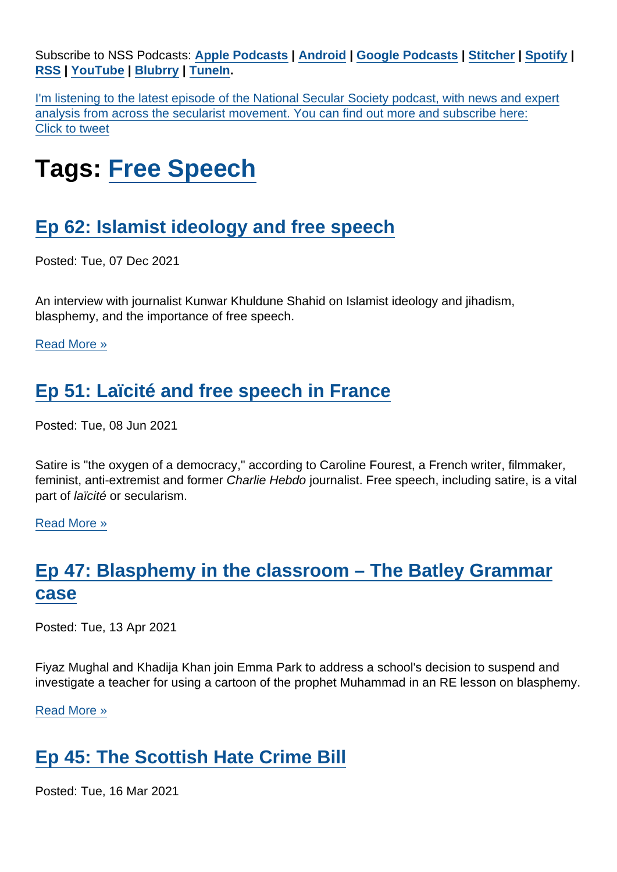Subscribe to NSS Podcasts: [Apple Podcasts](https://itunes.apple.com/gb/podcast/national-secular-society-podcast/id1452493582?mt=2) | [Android](https://subscribeonandroid.com/secularism.blubrry.net/feed/podcast/) | [Google Podcasts](https://www.google.com/podcasts?feed=aHR0cHM6Ly9zZWN1bGFyaXNtLmJsdWJycnkubmV0L2ZlZWQvcG9kY2FzdC8) | [Stitcher](https://www.stitcher.com/podcast/national-secular-society-podcast) | [Spotify](https://open.spotify.com/show/4YUdgznRhQwCtJRRLwbeXU) | [RSS](https://secularism.blubrry.net/feed/podcast/) | [YouTube](http://bit.ly/2TFGMDO) | [Blubrry](https://www.blubrry.com/secularism/) | [TuneIn](https://tunein.com/podcasts/News--Politics-Podcasts/National-Secular-Society-Podcast-p1188177/).

I'm listening to the latest episode of the National Secular Society podcast, with news and expert analysis from across the secularist movement. You can find out more and subscribe here: Click to tweet

# Tags: [Free Speech](https://www.secularism.org.uk/podcast/tags/Free+Speech)

# [Ep 62: Islamist ideology and free speech](https://www.secularism.org.uk/podcast/2021/12/ep-62)

Posted: Tue, 07 Dec 2021

An interview with journalist Kunwar Khuldune Shahid on Islamist ideology and jihadism, blasphemy, and the importance of free speech.

[Read More »](https://www.secularism.org.uk/podcast/2021/12/ep-62)

# [Ep 51: Laïcité and free speech in France](https://www.secularism.org.uk/podcast/2021/06/ep-51)

Posted: Tue, 08 Jun 2021

Satire is "the oxygen of a democracy," according to Caroline Fourest, a French writer, filmmaker, feminist, anti-extremist and former Charlie Hebdo journalist. Free speech, including satire, is a vital part of laïcité or secularism.

[Read More »](https://www.secularism.org.uk/podcast/2021/06/ep-51)

### [Ep 47: Blasphemy in the classroom – The Batley Grammar](https://www.secularism.org.uk/podcast/2021/04/ep47) [case](https://www.secularism.org.uk/podcast/2021/04/ep47)

Posted: Tue, 13 Apr 2021

Fiyaz Mughal and Khadija Khan join Emma Park to address a school's decision to suspend and investigate a teacher for using a cartoon of the prophet Muhammad in an RE lesson on blasphemy.

[Read More »](https://www.secularism.org.uk/podcast/2021/04/ep47)

# [Ep 45: The Scottish Hate Crime Bill](https://www.secularism.org.uk/podcast/2021/03/ep-45)

Posted: Tue, 16 Mar 2021